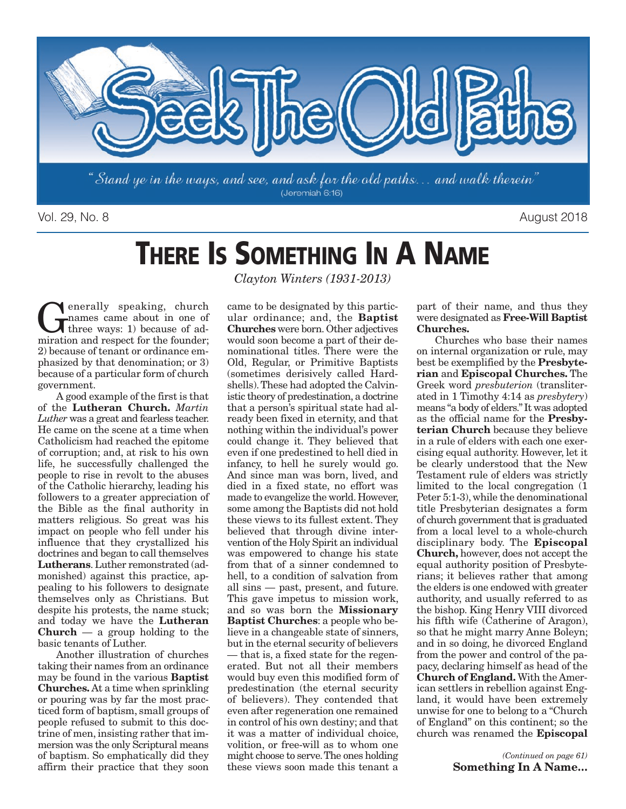

Vol. 29, No. 8 August 2018

# **THERE IS SOMETHING IN A NAME**

**C**enerally speaking, church<br>names came about in one of<br>three ways: 1) because of ad-<br>miration and respect for the foundary names came about in one of three ways: 1) because of admiration and respect for the founder; 2) because of tenant or ordinance emphasized by that denomination; or 3) because of a particular form of church government.

A good example of the first is that of the **Lutheran Church.** *Martin Luther* was a great and fearless teacher. He came on the scene at a time when Catholicism had reached the epitome of corruption; and, at risk to his own life, he successfully challenged the people to rise in revolt to the abuses of the Catholic hierarchy, leading his followers to a greater appreciation of the Bible as the final authority in matters religious. So great was his impact on people who fell under his influence that they crystallized his doctrines and began to call themselves **Lutherans**. Luther remonstrated (admonished) against this practice, appealing to his followers to designate themselves only as Christians. But despite his protests, the name stuck; and today we have the **Lutheran Church** — a group holding to the basic tenants of Luther.

Another illustration of churches taking their names from an ordinance may be found in the various **Baptist Churches.** At a time when sprinkling or pouring was by far the most practiced form of baptism, small groups of people refused to submit to this doctrine of men, insisting rather that immersion was the only Scriptural means of baptism. So emphatically did they affirm their practice that they soon

*Clayton Winters (1931-2013)*

came to be designated by this particular ordinance; and, the **Baptist Churches** were born. Other adjectives would soon become a part of their denominational titles. There were the Old, Regular, or Primitive Baptists (sometimes derisively called Hardshells). These had adopted the Calvinistic theory of predestination, a doctrine that a person's spiritual state had already been fixed in eternity, and that nothing within the individual's power could change it. They believed that even if one predestined to hell died in infancy, to hell he surely would go. And since man was born, lived, and died in a fixed state, no effort was made to evangelize the world. However, some among the Baptists did not hold these views to its fullest extent. They believed that through divine intervention of the Holy Spirit an individual was empowered to change his state from that of a sinner condemned to hell, to a condition of salvation from all sins — past, present, and future. This gave impetus to mission work, and so was born the **Missionary Baptist Churches**: a people who believe in a changeable state of sinners, but in the eternal security of believers — that is, a fixed state for the regenerated. But not all their members would buy even this modified form of predestination (the eternal security of believers). They contended that even after regeneration one remained in control of his own destiny; and that it was a matter of individual choice, volition, or free-will as to whom one might choose to serve. The ones holding these views soon made this tenant a

part of their name, and thus they were designated as **Free-Will Baptist Churches.**

Churches who base their names on internal organization or rule, may best be exemplified by the **Presbyterian** and **Episcopal Churches.** The Greek word *presbuterion* (transliterated in 1 Timothy 4:14 as *presbytery*) means "a body of elders." It was adopted as the official name for the **Presbyterian Church** because they believe in a rule of elders with each one exercising equal authority. However, let it be clearly understood that the New Testament rule of elders was strictly limited to the local congregation (1 Peter 5:1-3), while the denominational title Presbyterian designates a form of church government that is graduated from a local level to a whole-church disciplinary body. The **Episcopal Church,** however, does not accept the equal authority position of Presbyterians; it believes rather that among the elders is one endowed with greater authority, and usually referred to as the bishop. King Henry VIII divorced his fifth wife (Catherine of Aragon), so that he might marry Anne Boleyn; and in so doing, he divorced England from the power and control of the papacy, declaring himself as head of the **Church of England.** With the American settlers in rebellion against England, it would have been extremely unwise for one to belong to a "Church of England" on this continent; so the church was renamed the **Episcopal**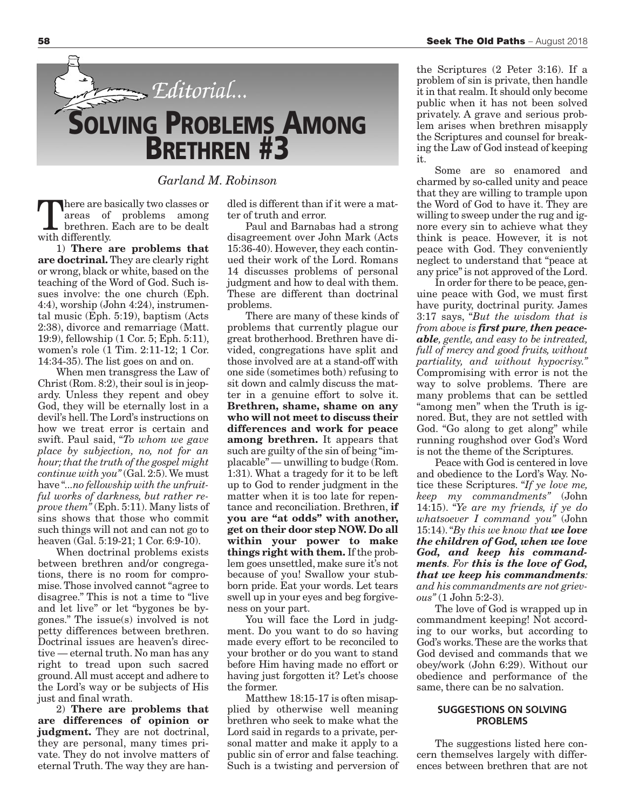

*Garland M. Robinson*

here are basically two classes or areas of problems among brethren. Each are to be dealt with differently.

1) **There are problems that are doctrinal.** They are clearly right or wrong, black or white, based on the teaching of the Word of God. Such issues involve: the one church (Eph. 4:4), worship (John 4:24), instrumental music (Eph. 5:19), baptism (Acts 2:38), divorce and remarriage (Matt. 19:9), fellowship (1 Cor. 5; Eph. 5:11), women's role (1 Tim. 2:11-12; 1 Cor. 14:34-35). The list goes on and on.

When men transgress the Law of Christ (Rom. 8:2), their soul is in jeopardy. Unless they repent and obey God, they will be eternally lost in a devil's hell. The Lord's instructions on how we treat error is certain and swift. Paul said, "*To whom we gave place by subjection, no, not for an hour; that the truth of the gospel might continue with you"* (Gal. 2:5). We must have "*...no fellowship with the unfruitful works of darkness, but rather reprove them"* (Eph. 5:11). Many lists of sins shows that those who commit such things will not and can not go to heaven (Gal. 5:19-21; 1 Cor. 6:9-10).

When doctrinal problems exists between brethren and/or congregations, there is no room for compromise. Those involved cannot "agree to disagree." This is not a time to "live and let live" or let "bygones be bygones." The issue(s) involved is not petty differences between brethren. Doctrinal issues are heaven's directive — eternal truth. No man has any right to tread upon such sacred ground. All must accept and adhere to the Lord's way or be subjects of His just and final wrath.

2) **There are problems that are differences of opinion or judgment.** They are not doctrinal, they are personal, many times private. They do not involve matters of eternal Truth. The way they are handled is different than if it were a matter of truth and error.

Paul and Barnabas had a strong disagreement over John Mark (Acts 15:36-40). However, they each continued their work of the Lord. Romans 14 discusses problems of personal judgment and how to deal with them. These are different than doctrinal problems.

There are many of these kinds of problems that currently plague our great brotherhood. Brethren have divided, congregations have split and those involved are at a stand-off with one side (sometimes both) refusing to sit down and calmly discuss the matter in a genuine effort to solve it. **Brethren, shame, shame on any who will not meet to discuss their differences and work for peace among brethren.** It appears that such are guilty of the sin of being "im $placable"$  — unwilling to budge (Rom. 1:31). What a tragedy for it to be left up to God to render judgment in the matter when it is too late for repentance and reconciliation. Brethren, **if you are "at odds" with another, get on their door step NOW. Do all within your power to make things right with them.** If the problem goes unsettled, make sure it's not because of you! Swallow your stubborn pride. Eat your words. Let tears swell up in your eyes and beg forgiveness on your part.

You will face the Lord in judgment. Do you want to do so having made every effort to be reconciled to your brother or do you want to stand before Him having made no effort or having just forgotten it? Let's choose the former.

Matthew 18:15-17 is often misapplied by otherwise well meaning brethren who seek to make what the Lord said in regards to a private, personal matter and make it apply to a public sin of error and false teaching. Such is a twisting and perversion of

the Scriptures (2 Peter 3:16). If a problem of sin is private, then handle it in that realm. It should only become public when it has not been solved privately. A grave and serious problem arises when brethren misapply the Scriptures and counsel for breaking the Law of God instead of keeping it.

Some are so enamored and charmed by so-called unity and peace that they are willing to trample upon the Word of God to have it. They are willing to sweep under the rug and ignore every sin to achieve what they think is peace. However, it is not peace with God. They conveniently neglect to understand that "peace at any price" is not approved of the Lord.

In order for there to be peace, genuine peace with God, we must first have purity, doctrinal purity. James 3:17 says, "*But the wisdom that is from above is first pure, then peaceable, gentle, and easy to be intreated, full of mercy and good fruits, without partiality, and without hypocrisy."* Compromising with error is not the way to solve problems. There are many problems that can be settled "among men" when the Truth is ignored. But, they are not settled with God. "Go along to get along" while running roughshod over God's Word is not the theme of the Scriptures.

Peace with God is centered in love and obedience to the Lord's Way. Notice these Scriptures. "*If ye love me, keep my commandments"* (John 14:15). "*Ye are my friends, if ye do whatsoever I command you"* (John 15:14). "*By this we know that we love the children of God, when we love God, and keep his commandments. For this is the love of God, that we keep his commandments: and his commandments are not grievous"* (1 John 5:2-3).

The love of God is wrapped up in commandment keeping! Not according to our works, but according to God's works. These are the works that God devised and commands that we obey/work (John 6:29). Without our obedience and performance of the same, there can be no salvation.

#### **SUGGESTIONS ON SOLVING PROBLEMS**

The suggestions listed here concern themselves largely with differences between brethren that are not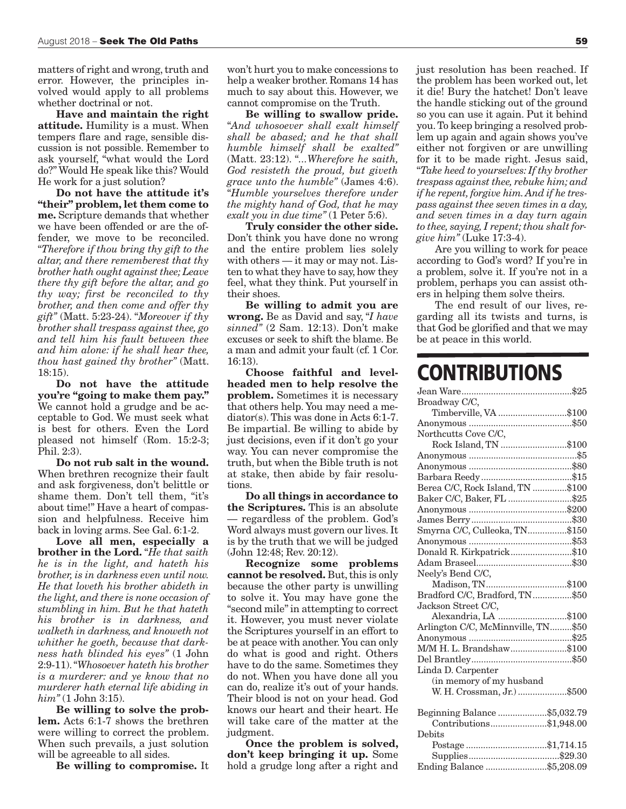matters of right and wrong, truth and error. However, the principles involved would apply to all problems whether doctrinal or not.

**Have and maintain the right attitude.** Humility is a must. When tempers flare and rage, sensible discussion is not possible. Remember to ask yourself, "what would the Lord do?" Would He speak like this? Would He work for a just solution?

**Do not have the attitude it's "their" problem, let them come to me.** Scripture demands that whether we have been offended or are the offender, we move to be reconciled. "*Therefore if thou bring thy gift to the altar, and there rememberest that thy brother hath ought against thee; Leave there thy gift before the altar, and go thy way; first be reconciled to thy brother, and then come and offer thy gift"* (Matt. 5:23-24). "*Moreover if thy brother shall trespass against thee, go and tell him his fault between thee and him alone: if he shall hear thee, thou hast gained thy brother"* (Matt. 18:15).

**Do not have the attitude you're "going to make them pay."** We cannot hold a grudge and be acceptable to God. We must seek what is best for others. Even the Lord pleased not himself (Rom. 15:2-3; Phil. 2:3).

**Do not rub salt in the wound.** When brethren recognize their fault and ask forgiveness, don't belittle or shame them. Don't tell them, "it's about time!" Have a heart of compassion and helpfulness. Receive him back in loving arms. See Gal. 6:1-2.

**Love all men, especially a brother in the Lord.** "*He that saith he is in the light, and hateth his brother, is in darkness even until now. He that loveth his brother abideth in the light, and there is none occasion of stumbling in him. But he that hateth his brother is in darkness, and walketh in darkness, and knoweth not whither he goeth, because that darkness hath blinded his eyes"* (1 John 2:9-11). "*Whosoever hateth his brother is a murderer: and ye know that no murderer hath eternal life abiding in him"* (1 John 3:15).

**Be willing to solve the problem.** Acts 6:1-7 shows the brethren were willing to correct the problem. When such prevails, a just solution will be agreeable to all sides.

**Be willing to compromise.** It

won't hurt you to make concessions to help a weaker brother. Romans 14 has much to say about this. However, we cannot compromise on the Truth.

**Be willing to swallow pride.** "*And whosoever shall exalt himself shall be abased; and he that shall humble himself shall be exalted"* (Matt. 23:12). "*...Wherefore he saith, God resisteth the proud, but giveth grace unto the humble"* (James 4:6). "*Humble yourselves therefore under the mighty hand of God, that he may exalt you in due time"* (1 Peter 5:6).

**Truly consider the other side.** Don't think you have done no wrong and the entire problem lies solely with others — it may or may not. Listen to what they have to say, how they feel, what they think. Put yourself in their shoes.

**Be willing to admit you are wrong.** Be as David and say, "*I have sinned"* (2 Sam. 12:13). Don't make excuses or seek to shift the blame. Be a man and admit your fault (cf. 1 Cor. 16:13).

**Choose faithful and levelheaded men to help resolve the problem.** Sometimes it is necessary that others help. You may need a mediator(s). This was done in Acts 6:1-7. Be impartial. Be willing to abide by just decisions, even if it don't go your way. You can never compromise the truth, but when the Bible truth is not at stake, then abide by fair resolutions.

**Do all things in accordance to the Scriptures.** This is an absolute — regardless of the problem. God's Word always must govern our lives. It is by the truth that we will be judged (John 12:48; Rev. 20:12).

**Recognize some problems cannot be resolved.** But, this is only because the other party is unwilling to solve it. You may have gone the "second mile" in attempting to correct it. However, you must never violate the Scriptures yourself in an effort to be at peace with another. You can only do what is good and right. Others have to do the same. Sometimes they do not. When you have done all you can do, realize it's out of your hands. Their blood is not on your head. God knows our heart and their heart. He will take care of the matter at the judgment.

**Once the problem is solved, don't keep bringing it up.** Some hold a grudge long after a right and just resolution has been reached. If the problem has been worked out, let it die! Bury the hatchet! Don't leave the handle sticking out of the ground so you can use it again. Put it behind you. To keep bringing a resolved problem up again and again shows you've either not forgiven or are unwilling for it to be made right. Jesus said, "*Take heed to yourselves: If thy brother trespass against thee, rebuke him; and if he repent, forgive him. And if he trespass against thee seven times in a day, and seven times in a day turn again to thee, saying, I repent; thou shalt forgive him"* (Luke 17:3-4).

Are you willing to work for peace according to God's word? If you're in a problem, solve it. If you're not in a problem, perhaps you can assist others in helping them solve theirs.

The end result of our lives, regarding all its twists and turns, is that God be glorified and that we may be at peace in this world.

## **CONTRIBUTIONS**

| Broadway C/C,                      |
|------------------------------------|
| Timberville, VA \$100              |
|                                    |
| Northcutts Cove C/C,               |
| Rock Island, TN \$100              |
|                                    |
|                                    |
|                                    |
| Berea C/C, Rock Island, TN \$100   |
| Baker C/C, Baker, FL \$25          |
|                                    |
|                                    |
| Smyrna C/C, Culleoka, TN\$150      |
|                                    |
| Donald R. Kirkpatrick\$10          |
|                                    |
| Neely's Bend C/C,                  |
| Madison, TN\$100                   |
| Bradford C/C, Bradford, TN\$50     |
| Jackson Street C/C,                |
| Alexandria, LA \$100               |
| Arlington C/C, McMinnville, TN\$50 |
|                                    |
| M/M H. L. Brandshaw\$100           |
|                                    |
| Linda D. Carpenter                 |
| (in memory of my husband           |
| W. H. Crossman, Jr.) \$500         |
|                                    |
| Beginning Balance \$5,032.79       |
| Contributions\$1,948.00            |
| Debits                             |
| Postage\$1,714.15                  |
|                                    |
| Ending Balance \$5,208.09          |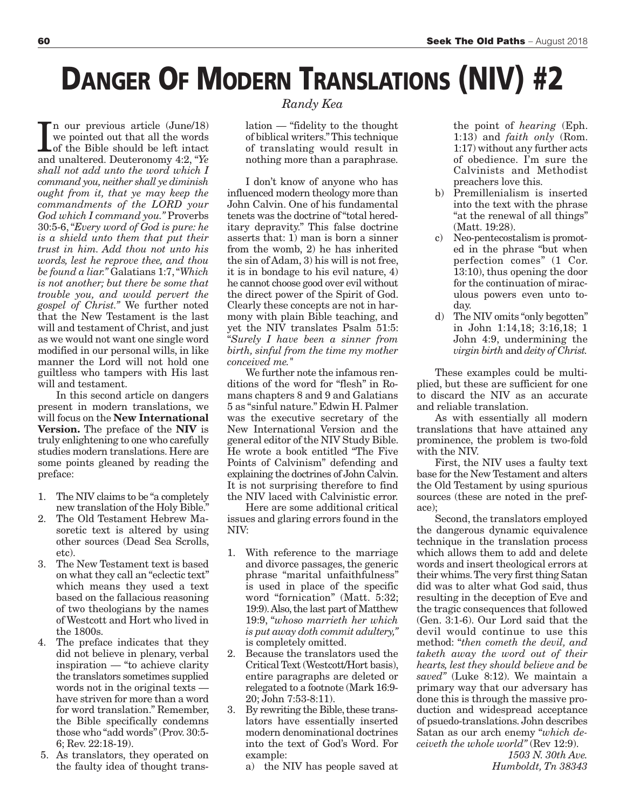# **DANGER OF MODERN TRANSLATIONS (NIV) #2**

In our previous article (June/18)<br>we pointed out that all the words<br>of the Bible should be left intact<br>and unaltered. Deuteronomy 4:2, "*Ye* n our previous article (June/18) we pointed out that all the words of the Bible should be left intact *shall not add unto the word which I command you, neither shall ye diminish ought from it, that ye may keep the commandments of the LORD your God which I command you."* Proverbs 30:5-6, "*Every word of God is pure: he is a shield unto them that put their trust in him. Add thou not unto his words, lest he reprove thee, and thou be found a liar."* Galatians 1:7, "*Which is not another; but there be some that trouble you, and would pervert the gospel of Christ."* We further noted that the New Testament is the last will and testament of Christ, and just as we would not want one single word modified in our personal wills, in like manner the Lord will not hold one guiltless who tampers with His last will and testament.

In this second article on dangers present in modern translations, we will focus on the **New International Version.** The preface of the **NIV** is truly enlightening to one who carefully studies modern translations. Here are some points gleaned by reading the preface:

- 1. The NIV claims to be "a completely new translation of the Holy Bible."
- 2. The Old Testament Hebrew Masoretic text is altered by using other sources (Dead Sea Scrolls, etc).
- 3. The New Testament text is based on what they call an "eclectic text" which means they used a text based on the fallacious reasoning of two theologians by the names of Westcott and Hort who lived in the 1800s.
- 4. The preface indicates that they did not believe in plenary, verbal inspiration — "to achieve clarity the translators sometimes supplied words not in the original texts have striven for more than a word for word translation." Remember, the Bible specifically condemns those who "add words" (Prov. 30:5- 6; Rev. 22:18-19).
- 5. As translators, they operated on the faulty idea of thought trans-

### *Randy Kea*

lation — "fidelity to the thought of biblical writers." This technique of translating would result in nothing more than a paraphrase.

I don't know of anyone who has influenced modern theology more than John Calvin. One of his fundamental tenets was the doctrine of "total hereditary depravity." This false doctrine asserts that: 1) man is born a sinner from the womb, 2) he has inherited the sin of Adam, 3) his will is not free, it is in bondage to his evil nature, 4) he cannot choose good over evil without the direct power of the Spirit of God. Clearly these concepts are not in harmony with plain Bible teaching, and yet the NIV translates Psalm 51:5: "*Surely I have been a sinner from birth, sinful from the time my mother conceived me."*

We further note the infamous renditions of the word for "flesh" in Romans chapters 8 and 9 and Galatians 5 as "sinful nature." Edwin H. Palmer was the executive secretary of the New International Version and the general editor of the NIV Study Bible. He wrote a book entitled "The Five Points of Calvinism" defending and explaining the doctrines of John Calvin. It is not surprising therefore to find the NIV laced with Calvinistic error.

Here are some additional critical issues and glaring errors found in the NIV:

- 1. With reference to the marriage and divorce passages, the generic phrase "marital unfaithfulness" is used in place of the specific word "fornication" (Matt. 5:32; 19:9). Also, the last part of Matthew 19:9, "*whoso marrieth her which is put away doth commit adultery,"* is completely omitted.
- 2. Because the translators used the Critical Text (Westcott/Hort basis), entire paragraphs are deleted or relegated to a footnote (Mark 16:9- 20; John 7:53-8:11).
- 3. By rewriting the Bible, these translators have essentially inserted modern denominational doctrines into the text of God's Word. For example:
	- a) the NIV has people saved at

the point of *hearing* (Eph. 1:13) and *faith only* (Rom. 1:17) without any further acts of obedience. I'm sure the Calvinists and Methodist preachers love this.

- b) Premillenialism is inserted into the text with the phrase "at the renewal of all things" (Matt. 19:28).
- c) Neo-pentecostalism is promoted in the phrase "but when perfection comes" (1 Cor. 13:10), thus opening the door for the continuation of miraculous powers even unto today.
- d) The NIV omits "only begotten" in John 1:14,18; 3:16,18; 1 John 4:9, undermining the *virgin birth* and *deity of Christ.*

These examples could be multiplied, but these are sufficient for one to discard the NIV as an accurate and reliable translation.

As with essentially all modern translations that have attained any prominence, the problem is two-fold with the NIV.

First, the NIV uses a faulty text base for the New Testament and alters the Old Testament by using spurious sources (these are noted in the preface);

Second, the translators employed the dangerous dynamic equivalence technique in the translation process which allows them to add and delete words and insert theological errors at their whims. The very first thing Satan did was to alter what God said, thus resulting in the deception of Eve and the tragic consequences that followed (Gen. 3:1-6). Our Lord said that the devil would continue to use this method: "*then cometh the devil, and taketh away the word out of their hearts, lest they should believe and be saved"* (Luke 8:12). We maintain a primary way that our adversary has done this is through the massive production and widespread acceptance of psuedo-translations. John describes Satan as our arch enemy "*which deceiveth the whole world"* (Rev 12:9).

> *1503 N. 30th Ave. Humboldt, Tn 38343*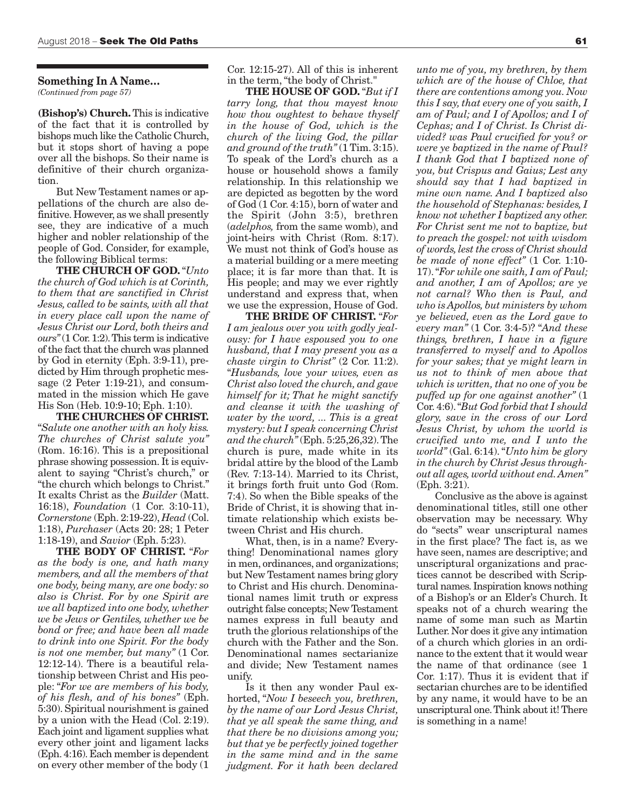#### **Something In A Name…** *(Continued from page 57)*

**(Bishop's) Church.**This is indicative of the fact that it is controlled by bishops much like the Catholic Church, but it stops short of having a pope over all the bishops. So their name is definitive of their church organization.

But New Testament names or appellations of the church are also definitive. However, as we shall presently see, they are indicative of a much higher and nobler relationship of the people of God. Consider, for example, the following Biblical terms:

**THE CHURCH OF GOD.**"*Unto the church of God which is at Corinth, to them that are sanctified in Christ Jesus, called to be saints, with all that in every place call upon the name of Jesus Christ our Lord, both theirs and ours"* (1 Cor. 1:2). This term is indicative of the fact that the church was planned by God in eternity (Eph. 3:9-11), predicted by Him through prophetic message (2 Peter 1:19-21), and consummated in the mission which He gave His Son (Heb. 10:9-10; Eph. 1:10).

**THE CHURCHES OF CHRIST.** "*Salute one another with an holy kiss. The churches of Christ salute you"* (Rom. 16:16). This is a prepositional phrase showing possession. It is equivalent to saying "Christ's church," or "the church which belongs to Christ." It exalts Christ as the *Builder* (Matt. 16:18), *Foundation* (1 Cor. 3:10-11), *Cornerstone* (Eph. 2:19-22), *Head* (Col. 1:18), *Purchaser* (Acts 20: 28; 1 Peter 1:18-19), and *Savior* (Eph. 5:23).

**THE BODY OF CHRIST.** "*For as the body is one, and hath many members, and all the members of that one body, being many, are one body: so also is Christ. For by one Spirit are we all baptized into one body, whether we be Jews or Gentiles, whether we be bond or free; and have been all made to drink into one Spirit. For the body is not one member, but many"* (1 Cor. 12:12-14). There is a beautiful relationship between Christ and His people: "*For we are members of his body, of his flesh, and of his bones"* (Eph. 5:30). Spiritual nourishment is gained by a union with the Head (Col. 2:19). Each joint and ligament supplies what every other joint and ligament lacks (Eph. 4:16). Each member is dependent on every other member of the body (1

Cor. 12:15-27). All of this is inherent in the term, "the body of Christ."

**THE HOUSE OF GOD.**"*But if I tarry long, that thou mayest know how thou oughtest to behave thyself in the house of God, which is the church of the living God, the pillar and ground of the truth"* (1 Tim. 3:15). To speak of the Lord's church as a house or household shows a family relationship. In this relationship we are depicted as begotten by the word of God (1 Cor. 4:15), born of water and the Spirit (John 3:5), brethren (*adelphos,* from the same womb), and joint-heirs with Christ (Rom. 8:17). We must not think of God's house as a material building or a mere meeting place; it is far more than that. It is His people; and may we ever rightly understand and express that, when we use the expression, House of God.

**THE BRIDE OF CHRIST.** "*For I am jealous over you with godly jealousy: for I have espoused you to one husband, that I may present you as a chaste virgin to Christ"* (2 Cor. 11:2). "*Husbands, love your wives, even as Christ also loved the church, and gave himself for it; That he might sanctify and cleanse it with the washing of water by the word, ... This is a great mystery: but I speak concerning Christ and the church"* (Eph. 5:25,26,32). The church is pure, made white in its bridal attire by the blood of the Lamb (Rev. 7:13-14). Married to its Christ, it brings forth fruit unto God (Rom. 7:4). So when the Bible speaks of the Bride of Christ, it is showing that intimate relationship which exists between Christ and His church.

What, then, is in a name? Everything! Denominational names glory in men, ordinances, and organizations; but New Testament names bring glory to Christ and His church. Denominational names limit truth or express outright false concepts; New Testament names express in full beauty and truth the glorious relationships of the church with the Father and the Son. Denominational names sectarianize and divide; New Testament names unify.

Is it then any wonder Paul exhorted, "*Now I beseech you, brethren, by the name of our Lord Jesus Christ, that ye all speak the same thing, and that there be no divisions among you; but that ye be perfectly joined together in the same mind and in the same judgment. For it hath been declared*

*unto me of you, my brethren, by them which are of the house of Chloe, that there are contentions among you. Now this I say, that every one of you saith, I am of Paul; and I of Apollos; and I of Cephas; and I of Christ. Is Christ divided? was Paul crucified for you? or were ye baptized in the name of Paul? I thank God that I baptized none of you, but Crispus and Gaius; Lest any should say that I had baptized in mine own name. And I baptized also the household of Stephanas: besides, I know not whether I baptized any other. For Christ sent me not to baptize, but to preach the gospel: not with wisdom of words, lest the cross of Christ should be made of none effect"* (1 Cor. 1:10- 17). "*For while one saith, I am of Paul; and another, I am of Apollos; are ye not carnal? Who then is Paul, and who is Apollos, but ministers by whom ye believed, even as the Lord gave to every man"* (1 Cor. 3:4-5)? "*And these things, brethren, I have in a figure transferred to myself and to Apollos for your sakes; that ye might learn in us not to think of men above that which is written, that no one of you be puffed up for one against another"* (1 Cor. 4:6). "*But God forbid that I should glory, save in the cross of our Lord Jesus Christ, by whom the world is crucified unto me, and I unto the world"* (Gal. 6:14). "*Unto him be glory in the church by Christ Jesus throughout all ages, world without end. Amen"* (Eph. 3:21).

Conclusive as the above is against denominational titles, still one other observation may be necessary. Why do "sects" wear unscriptural names in the first place? The fact is, as we have seen, names are descriptive; and unscriptural organizations and practices cannot be described with Scriptural names. Inspiration knows nothing of a Bishop's or an Elder's Church. It speaks not of a church wearing the name of some man such as Martin Luther. Nor does it give any intimation of a church which glories in an ordinance to the extent that it would wear the name of that ordinance (see 1 Cor. 1:17). Thus it is evident that if sectarian churches are to be identified by any name, it would have to be an unscriptural one. Think about it! There is something in a name!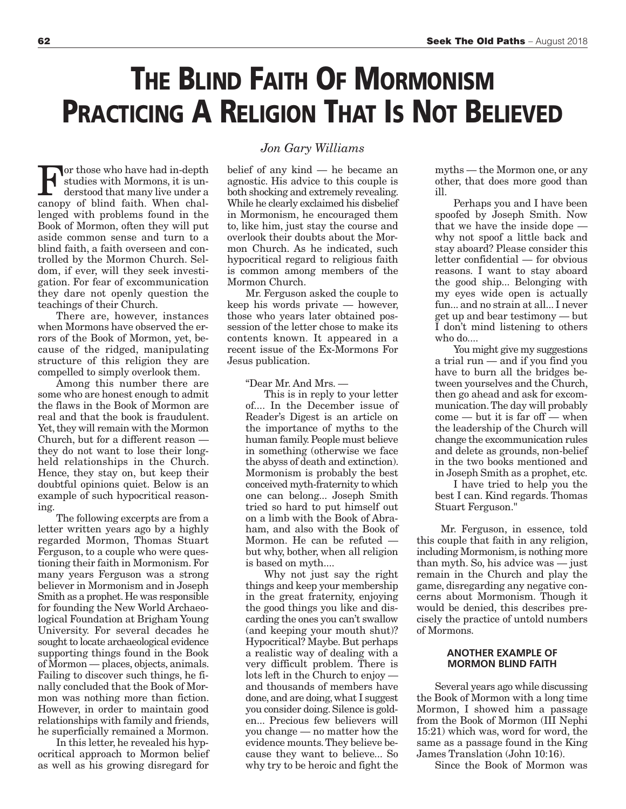## **THE BLIND FAITH OF MORMONISM PRACTICING A RELIGION THAT IS NOT BELIEVED**

For those who have had in-depth<br>studies with Mormons, it is un-<br>derstood that many live under a<br>canopy of blind faith. When chalstudies with Mormons, it is understood that many live under a canopy of blind faith. When challenged with problems found in the Book of Mormon, often they will put aside common sense and turn to a blind faith, a faith overseen and controlled by the Mormon Church. Seldom, if ever, will they seek investigation. For fear of excommunication they dare not openly question the teachings of their Church.

There are, however, instances when Mormons have observed the errors of the Book of Mormon, yet, because of the ridged, manipulating structure of this religion they are compelled to simply overlook them.

Among this number there are some who are honest enough to admit the flaws in the Book of Mormon are real and that the book is fraudulent. Yet, they will remain with the Mormon Church, but for a different reason they do not want to lose their longheld relationships in the Church. Hence, they stay on, but keep their doubtful opinions quiet. Below is an example of such hypocritical reasoning.

The following excerpts are from a letter written years ago by a highly regarded Mormon, Thomas Stuart Ferguson, to a couple who were questioning their faith in Mormonism. For many years Ferguson was a strong believer in Mormonism and in Joseph Smith as a prophet. He was responsible for founding the New World Archaeological Foundation at Brigham Young University. For several decades he sought to locate archaeological evidence supporting things found in the Book of Mormon — places, objects, animals. Failing to discover such things, he finally concluded that the Book of Mormon was nothing more than fiction. However, in order to maintain good relationships with family and friends, he superficially remained a Mormon.

In this letter, he revealed his hypocritical approach to Mormon belief as well as his growing disregard for

### *Jon Gary Williams*

belief of any kind — he became an agnostic. His advice to this couple is both shocking and extremely revealing. While he clearly exclaimed his disbelief in Mormonism, he encouraged them to, like him, just stay the course and overlook their doubts about the Mormon Church. As he indicated, such hypocritical regard to religious faith is common among members of the Mormon Church.

Mr. Ferguson asked the couple to keep his words private — however, those who years later obtained possession of the letter chose to make its contents known. It appeared in a recent issue of the Ex-Mormons For Jesus publication.

"Dear Mr. And Mrs. —

This is in reply to your letter of.... In the December issue of Reader's Digest is an article on the importance of myths to the human family. People must believe in something (otherwise we face the abyss of death and extinction). Mormonism is probably the best conceived myth-fraternity to which one can belong... Joseph Smith tried so hard to put himself out on a limb with the Book of Abraham, and also with the Book of Mormon. He can be refuted but why, bother, when all religion is based on myth....

Why not just say the right things and keep your membership in the great fraternity, enjoying the good things you like and discarding the ones you can't swallow (and keeping your mouth shut)? Hypocritical? Maybe. But perhaps a realistic way of dealing with a very difficult problem. There is lots left in the Church to enjoy and thousands of members have done, and are doing, what I suggest you consider doing. Silence is golden... Precious few believers will you change — no matter how the evidence mounts. They believe because they want to believe... So why try to be heroic and fight the

myths — the Mormon one, or any other, that does more good than ill.

Perhaps you and I have been spoofed by Joseph Smith. Now that we have the inside dope why not spoof a little back and stay aboard? Please consider this letter confidential — for obvious reasons. I want to stay aboard the good ship... Belonging with my eyes wide open is actually fun... and no strain at all... I never get up and bear testimony — but I don't mind listening to others who do....

You might give my suggestions a trial run — and if you find you have to burn all the bridges between yourselves and the Church, then go ahead and ask for excommunication. The day will probably come — but it is far off — when the leadership of the Church will change the excommunication rules and delete as grounds, non-belief in the two books mentioned and in Joseph Smith as a prophet, etc.

I have tried to help you the best I can. Kind regards. Thomas Stuart Ferguson."

Mr. Ferguson, in essence, told this couple that faith in any religion, including Mormonism, is nothing more than myth. So, his advice was — just remain in the Church and play the game, disregarding any negative concerns about Mormonism. Though it would be denied, this describes precisely the practice of untold numbers of Mormons.

#### **ANOTHER EXAMPLE OF MORMON BLIND FAITH**

Several years ago while discussing the Book of Mormon with a long time Mormon, I showed him a passage from the Book of Mormon (III Nephi 15:21) which was, word for word, the same as a passage found in the King James Translation (John 10:16).

Since the Book of Mormon was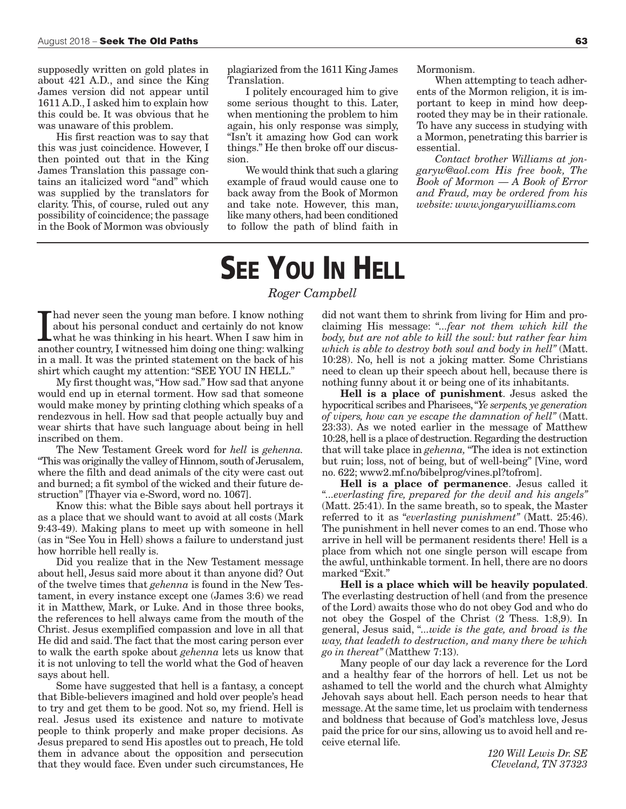supposedly written on gold plates in about 421 A.D., and since the King James version did not appear until 1611 A.D., I asked him to explain how this could be. It was obvious that he was unaware of this problem.

His first reaction was to say that this was just coincidence. However, I then pointed out that in the King James Translation this passage contains an italicized word "and" which was supplied by the translators for clarity. This, of course, ruled out any possibility of coincidence; the passage in the Book of Mormon was obviously plagiarized from the 1611 King James Translation.

I politely encouraged him to give some serious thought to this. Later, when mentioning the problem to him again, his only response was simply, "Isn't it amazing how God can work things." He then broke off our discussion.

We would think that such a glaring example of fraud would cause one to back away from the Book of Mormon and take note. However, this man, like many others, had been conditioned to follow the path of blind faith in Mormonism.

When attempting to teach adherents of the Mormon religion, it is important to keep in mind how deeprooted they may be in their rationale. To have any success in studying with a Mormon, penetrating this barrier is essential.

*Contact brother Williams at jongaryw@aol.com His free book, The Book of Mormon — A Book of Error and Fraud, may be ordered from his website: www.jongarywilliams.com*

# **SEE YOU IN HELL**

### *Roger Campbell*

I had never seen the young man before. I know nothing about his personal conduct and certainly do not know what he was thinking in his heart. When I saw him in another country, I witnessed him doing one thing: walking had never seen the young man before. I know nothing about his personal conduct and certainly do not know what he was thinking in his heart. When I saw him in in a mall. It was the printed statement on the back of his shirt which caught my attention: "SEE YOU IN HELL."

My first thought was, "How sad." How sad that anyone would end up in eternal torment. How sad that someone would make money by printing clothing which speaks of a rendezvous in hell. How sad that people actually buy and wear shirts that have such language about being in hell inscribed on them.

The New Testament Greek word for *hell* is *gehenna.* "This was originally the valley of Hinnom, south of Jerusalem, where the filth and dead animals of the city were cast out and burned; a fit symbol of the wicked and their future destruction" [Thayer via e-Sword, word no. 1067].

Know this: what the Bible says about hell portrays it as a place that we should want to avoid at all costs (Mark 9:43-49). Making plans to meet up with someone in hell (as in "See You in Hell) shows a failure to understand just how horrible hell really is.

Did you realize that in the New Testament message about hell, Jesus said more about it than anyone did? Out of the twelve times that *gehenna* is found in the New Testament, in every instance except one (James 3:6) we read it in Matthew, Mark, or Luke. And in those three books, the references to hell always came from the mouth of the Christ. Jesus exemplified compassion and love in all that He did and said. The fact that the most caring person ever to walk the earth spoke about *gehenna* lets us know that it is not unloving to tell the world what the God of heaven says about hell.

Some have suggested that hell is a fantasy, a concept that Bible-believers imagined and hold over people's head to try and get them to be good. Not so, my friend. Hell is real. Jesus used its existence and nature to motivate people to think properly and make proper decisions. As Jesus prepared to send His apostles out to preach, He told them in advance about the opposition and persecution that they would face. Even under such circumstances, He did not want them to shrink from living for Him and proclaiming His message: "*...fear not them which kill the body, but are not able to kill the soul: but rather fear him which is able to destroy both soul and body in hell"* (Matt. 10:28). No, hell is not a joking matter. Some Christians need to clean up their speech about hell, because there is nothing funny about it or being one of its inhabitants.

**Hell is a place of punishment**. Jesus asked the hypocritical scribes and Pharisees, "*Ye serpents, ye generation of vipers, how can ye escape the damnation of hell"* (Matt. 23:33). As we noted earlier in the message of Matthew 10:28, hell is a place of destruction. Regarding the destruction that will take place in *gehenna,* "The idea is not extinction but ruin; loss, not of being, but of well-being" [Vine, word no. 622; www2.mf.no/bibelprog/vines.pl?tofrom].

**Hell is a place of permanence**. Jesus called it "*...everlasting fire, prepared for the devil and his angels"* (Matt. 25:41). In the same breath, so to speak, the Master referred to it as "*everlasting punishment"* (Matt. 25:46). The punishment in hell never comes to an end. Those who arrive in hell will be permanent residents there! Hell is a place from which not one single person will escape from the awful, unthinkable torment. In hell, there are no doors marked "Exit."

**Hell is a place which will be heavily populated**. The everlasting destruction of hell (and from the presence of the Lord) awaits those who do not obey God and who do not obey the Gospel of the Christ (2 Thess. 1:8,9). In general, Jesus said, "*...wide is the gate, and broad is the way, that leadeth to destruction, and many there be which go in thereat"* (Matthew 7:13).

Many people of our day lack a reverence for the Lord and a healthy fear of the horrors of hell. Let us not be ashamed to tell the world and the church what Almighty Jehovah says about hell. Each person needs to hear that message. At the same time, let us proclaim with tenderness and boldness that because of God's matchless love, Jesus paid the price for our sins, allowing us to avoid hell and receive eternal life.

> *120 Will Lewis Dr. SE Cleveland, TN 37323*